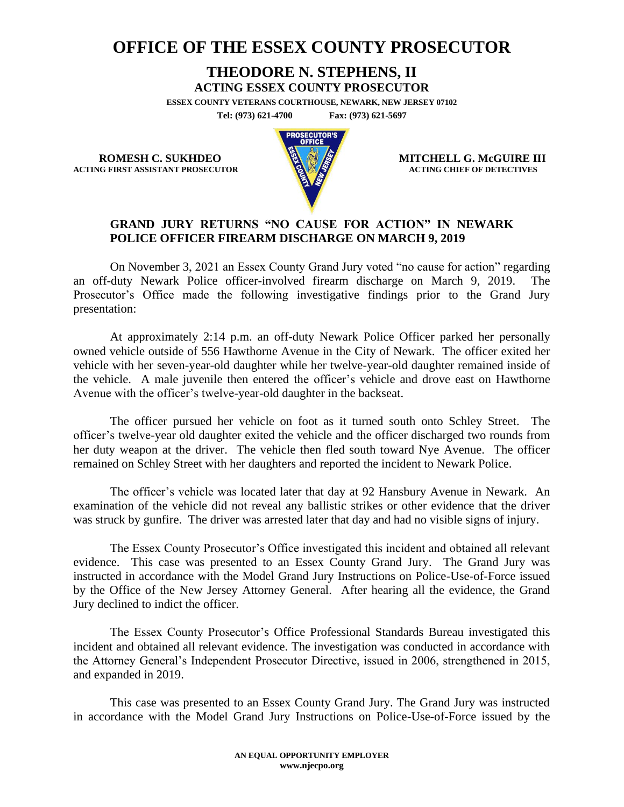## **OFFICE OF THE ESSEX COUNTY PROSECUTOR**

## **THEODORE N. STEPHENS, II**

**ACTING ESSEX COUNTY PROSECUTOR**

**ESSEX COUNTY VETERANS COURTHOUSE, NEWARK, NEW JERSEY 07102 Tel: (973) 621-4700 Fax: (973) 621-5697**

**ACTING FIRST ASSISTANT PROSECUTOR** 



**ROMESH C. SUKHDEO MITCHELL G. McGUIRE III**<br>
MITCHELL G. McGUIRE III

## **GRAND JURY RETURNS "NO CAUSE FOR ACTION" IN NEWARK POLICE OFFICER FIREARM DISCHARGE ON MARCH 9, 2019**

On November 3, 2021 an Essex County Grand Jury voted "no cause for action" regarding an off-duty Newark Police officer-involved firearm discharge on March 9, 2019. The Prosecutor's Office made the following investigative findings prior to the Grand Jury presentation:

At approximately 2:14 p.m. an off-duty Newark Police Officer parked her personally owned vehicle outside of 556 Hawthorne Avenue in the City of Newark. The officer exited her vehicle with her seven-year-old daughter while her twelve-year-old daughter remained inside of the vehicle. A male juvenile then entered the officer's vehicle and drove east on Hawthorne Avenue with the officer's twelve-year-old daughter in the backseat.

The officer pursued her vehicle on foot as it turned south onto Schley Street. The officer's twelve-year old daughter exited the vehicle and the officer discharged two rounds from her duty weapon at the driver. The vehicle then fled south toward Nye Avenue. The officer remained on Schley Street with her daughters and reported the incident to Newark Police.

The officer's vehicle was located later that day at 92 Hansbury Avenue in Newark. An examination of the vehicle did not reveal any ballistic strikes or other evidence that the driver was struck by gunfire. The driver was arrested later that day and had no visible signs of injury.

The Essex County Prosecutor's Office investigated this incident and obtained all relevant evidence. This case was presented to an Essex County Grand Jury. The Grand Jury was instructed in accordance with the Model Grand Jury Instructions on Police-Use-of-Force issued by the Office of the New Jersey Attorney General. After hearing all the evidence, the Grand Jury declined to indict the officer.

The Essex County Prosecutor's Office Professional Standards Bureau investigated this incident and obtained all relevant evidence. The investigation was conducted in accordance with the Attorney General's Independent Prosecutor Directive, issued in 2006, strengthened in 2015, and expanded in 2019.

This case was presented to an Essex County Grand Jury. The Grand Jury was instructed in accordance with the Model Grand Jury Instructions on Police-Use-of-Force issued by the